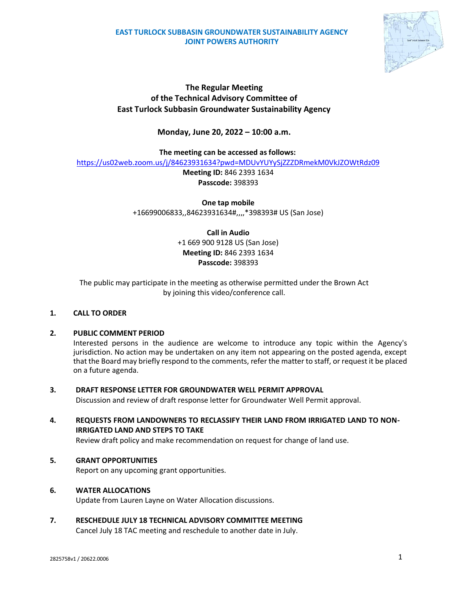### **EAST TURLOCK SUBBASIN GROUNDWATER SUSTAINABILITY AGENCY JOINT POWERS AUTHORITY**



## **The Regular Meeting of the Technical Advisory Committee of East Turlock Subbasin Groundwater Sustainability Agency**

## **Monday, June 20, 2022 – 10:00 a.m.**

**The meeting can be accessed as follows:**

<https://us02web.zoom.us/j/84623931634?pwd=MDUvYUYySjZZZDRmekM0VkJZOWtRdz09>

**Meeting ID:** 846 2393 1634 **Passcode:** 398393

**One tap mobile** +16699006833,,84623931634#,,,,\*398393# US (San Jose)

> **Call in Audio** +1 669 900 9128 US (San Jose) **Meeting ID:** 846 2393 1634 **Passcode:** 398393

The public may participate in the meeting as otherwise permitted under the Brown Act by joining this video/conference call.

### **1. CALL TO ORDER**

### **2. PUBLIC COMMENT PERIOD**

Interested persons in the audience are welcome to introduce any topic within the Agency's jurisdiction. No action may be undertaken on any item not appearing on the posted agenda, except that the Board may briefly respond to the comments, refer the matter to staff, or request it be placed on a future agenda.

### **3. DRAFT RESPONSE LETTER FOR GROUNDWATER WELL PERMIT APPROVAL**

Discussion and review of draft response letter for Groundwater Well Permit approval.

# **4. REQUESTS FROM LANDOWNERS TO RECLASSIFY THEIR LAND FROM IRRIGATED LAND TO NON-IRRIGATED LAND AND STEPS TO TAKE**

Review draft policy and make recommendation on request for change of land use.

### **5. GRANT OPPORTUNITIES**

Report on any upcoming grant opportunities.

### **6. WATER ALLOCATIONS**

Update from Lauren Layne on Water Allocation discussions.

### **7. RESCHEDULE JULY 18 TECHNICAL ADVISORY COMMITTEE MEETING**

Cancel July 18 TAC meeting and reschedule to another date in July.